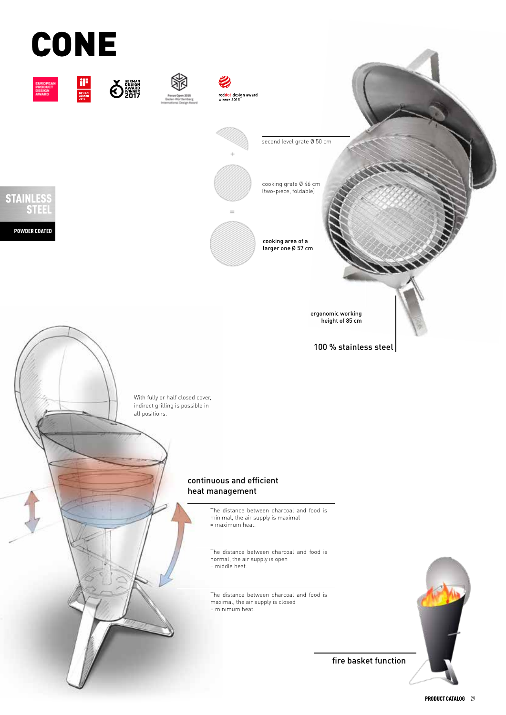